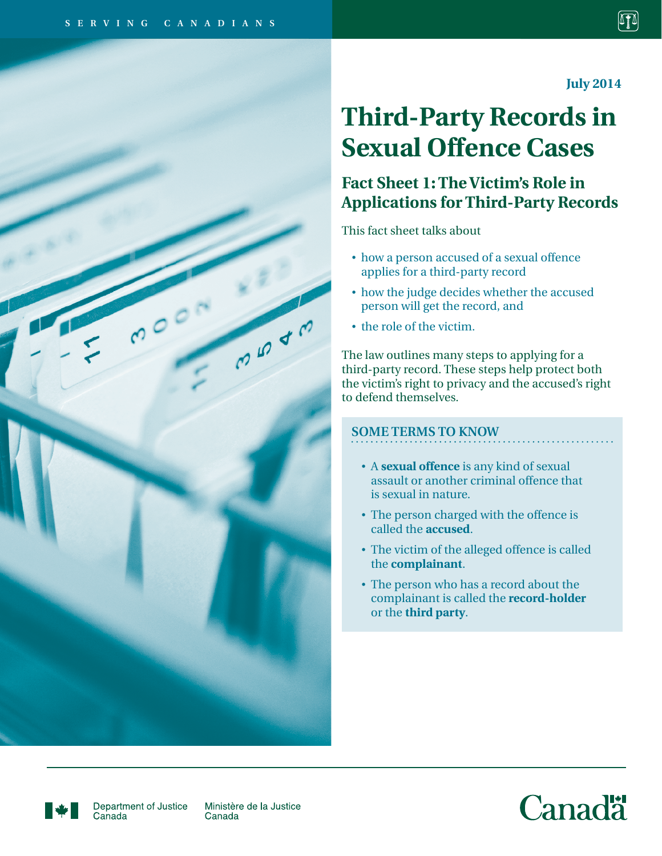$000$ 

**July 2014**

# **Third-Party Records in Sexual Offence Cases**

## **Fact Sheet 1: The Victim's Role in Applications for Third-Party Records**

This fact sheet talks about

- how a person accused of a sexual offence applies for a third-party record
- how the judge decides whether the accused person will get the record, and
- the role of the victim.

The law outlines many steps to applying for a third-party record. These steps help protect both the victim's right to privacy and the accused's right to defend themselves.

### **SOME TERMS TO KNOW**

- A **sexual offence** is any kind of sexual assault or another criminal offence that is sexual in nature.
- The person charged with the offence is called the **accused**.
- The victim of the alleged offence is called the **complainant**.
- The person who has a record about the complainant is called the **record-holder** or the **third party**.



Department of Justice Canada

Ministère de la Justice Canada

**CO 40** 



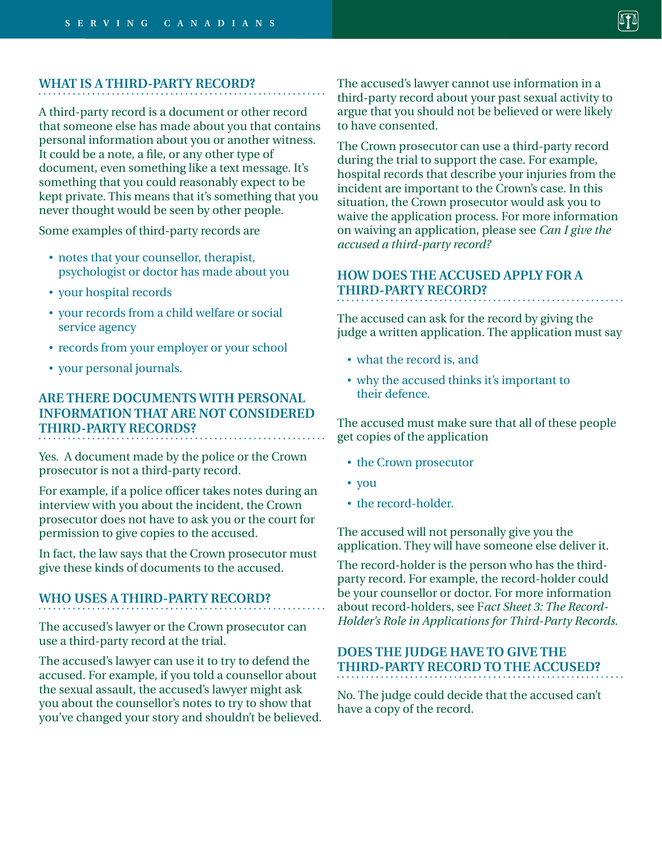#### **WHAT IS A THIRD-PARTY RECORD?**

A third-party record is a document or other record that someone else has made about you that contains personal information about you or another witness. It could be a note, a file, or any other type of document, even something like a text message. It's something that you could reasonably expect to be kept private. This means that it's something that you never thought would be seen by other people.

Some examples of third-party records are

- notes that your counsellor, therapist, psychologist or doctor has made about you
- your hospital records
- • your records from a child welfare or social service agency
- records from your employer or your school
- your personal journals.

## **ARE THERE DOCUMENTS WITH PERSONAL INFORMATION THAT ARE NOT CONSIDERED THIRD-PARTY RECORDS?**

Yes. A document made by the police or the Crown prosecutor is not a third-party record.

For example, if a police officer takes notes during an interview with you about the incident, the Crown prosecutor does not have to ask you or the court for permission to give copies to the accused.

In fact, the law says that the Crown prosecutor must give these kinds of documents to the accused.

#### **WHO USES A THIRD-PARTY RECORD?**

The accused's lawyer or the Crown prosecutor can use a third-party record at the trial.

The accused's lawyer can use it to try to defend the accused. For example, if you told a counsellor about the sexual assault, the accused's lawyer might ask you about the counsellor's notes to try to show that you've changed your story and shouldn't be believed. The accused's lawyer cannot use information in a third-party record about your past sexual activity to argue that you should not be believed or were likely to have consented.

The Crown prosecutor can use a third-party record during the trial to support the case. For example, hospital records that describe your injuries from the incident are important to the Crown's case. In this situation, the Crown prosecutor would ask you to waive the application process. For more information on waiving an application, please see *Can I give the accused a third-party record?*

## **HOW DOES THE ACCUSED APPLY FOR A THIRD-PARTY RECORD?**

The accused can ask for the record by giving the judge a written application. The application must say

- what the record is, and
- why the accused thinks it's important to their defence.

The accused must make sure that all of these people get copies of the application

- the Crown prosecutor
- you
- the record-holder.

The accused will not personally give you the application. They will have someone else deliver it.

The record-holder is the person who has the thirdparty record. For example, the record-holder could be your counsellor or doctor. For more information about record-holders, see F*act Sheet 3: The Record-Holder's Role in Applications for Third-Party Records*.

#### **DOES THE JUDGE HAVE TO GIVE THE THIRD-PARTY RECORD TO THE ACCUSED?**

No. The judge could decide that the accused can't have a copy of the record.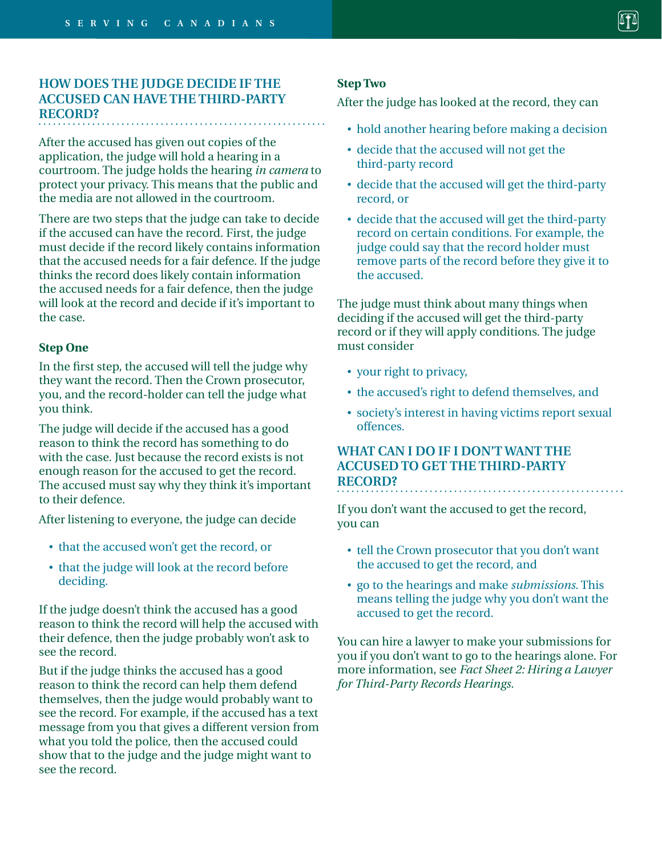#### **HOW DOES THE JUDGE DECIDE IF THE ACCUSED CAN HAVE THE THIRD-PARTY RECORD?**

After the accused has given out copies of the application, the judge will hold a hearing in a courtroom. The judge holds the hearing *in camera* to protect your privacy. This means that the public and the media are not allowed in the courtroom.

There are two steps that the judge can take to decide if the accused can have the record. First, the judge must decide if the record likely contains information that the accused needs for a fair defence. If the judge thinks the record does likely contain information the accused needs for a fair defence, then the judge will look at the record and decide if it's important to the case.

#### **Step One**

In the first step, the accused will tell the judge why they want the record. Then the Crown prosecutor, you, and the record-holder can tell the judge what you think.

The judge will decide if the accused has a good reason to think the record has something to do with the case. Just because the record exists is not enough reason for the accused to get the record. The accused must say why they think it's important to their defence.

After listening to everyone, the judge can decide

- that the accused won't get the record, or
- that the judge will look at the record before deciding.

If the judge doesn't think the accused has a good reason to think the record will help the accused with their defence, then the judge probably won't ask to see the record.

But if the judge thinks the accused has a good reason to think the record can help them defend themselves, then the judge would probably want to see the record. For example, if the accused has a text message from you that gives a different version from what you told the police, then the accused could show that to the judge and the judge might want to see the record.

#### **Step Two**

After the judge has looked at the record, they can

- hold another hearing before making a decision
- • decide that the accused will not get the third-party record
- • decide that the accused will get the third-party record, or
- • decide that the accused will get the third-party record on certain conditions. For example, the judge could say that the record holder must remove parts of the record before they give it to the accused.

The judge must think about many things when deciding if the accused will get the third-party record or if they will apply conditions. The judge must consider

- your right to privacy,
- the accused's right to defend themselves, and
- society's interest in having victims report sexual offences.

#### **WHAT CAN I DO IF I DON'T WANT THE ACCUSED TO GET THE THIRD-PARTY RECORD?**

If you don't want the accused to get the record, you can

- tell the Crown prosecutor that you don't want the accused to get the record, and
- • go to the hearings and make *submissions*. This means telling the judge why you don't want the accused to get the record.

You can hire a lawyer to make your submissions for you if you don't want to go to the hearings alone. For more information, see *Fact Sheet 2: Hiring a Lawyer for Third-Party Records Hearings.*